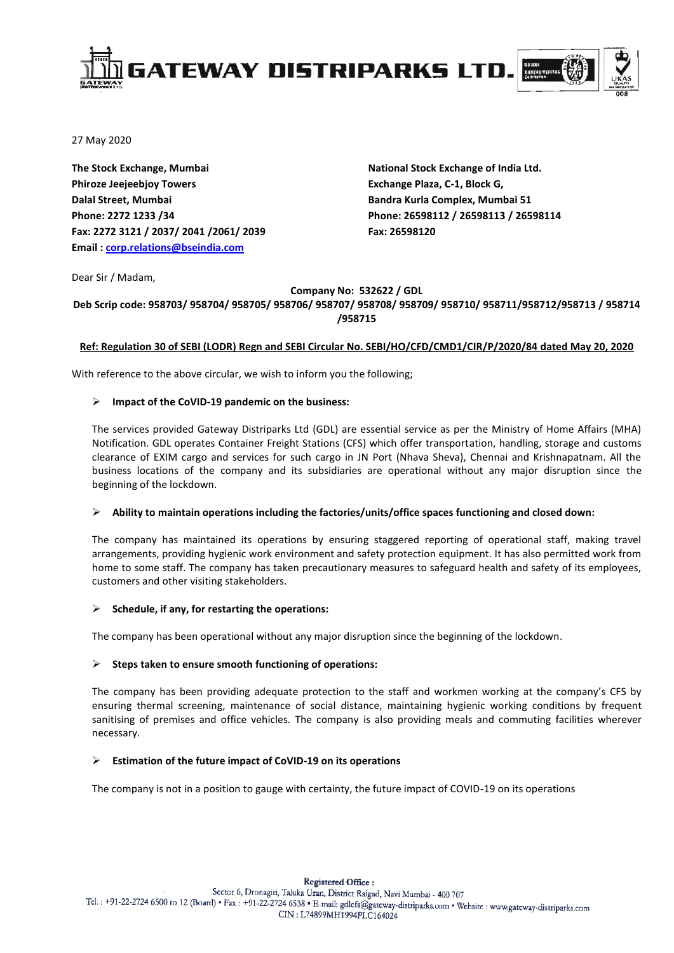

27 May 2020

**The Stock Exchange, Mumbai Phiroze Jeejeebjoy Towers Dalal Street, Mumbai Phone: 2272 1233 /34 Fax: 2272 3121 / 2037/ 2041 /2061/ 2039 Email [: corp.relations@bseindia.com](mailto:corp.relations@bseindia.com)**

**National Stock Exchange of India Ltd. Exchange Plaza, C-1, Block G, Bandra Kurla Complex, Mumbai 51 Phone: 26598112 / 26598113 / 26598114 Fax: 26598120** 

Dear Sir / Madam,

## **Company No: 532622 / GDL**

#### **Deb Scrip code: 958703/ 958704/ 958705/ 958706/ 958707/ 958708/ 958709/ 958710/ 958711/958712/958713 / 958714 /958715**

## **Ref: Regulation 30 of SEBI (LODR) Regn and SEBI Circular No. SEBI/HO/CFD/CMD1/CIR/P/2020/84 dated May 20, 2020**

With reference to the above circular, we wish to inform you the following;

## **Impact of the CoVID-19 pandemic on the business:**

The services provided Gateway Distriparks Ltd (GDL) are essential service as per the Ministry of Home Affairs (MHA) Notification. GDL operates Container Freight Stations (CFS) which offer transportation, handling, storage and customs clearance of EXIM cargo and services for such cargo in JN Port (Nhava Sheva), Chennai and Krishnapatnam. All the business locations of the company and its subsidiaries are operational without any major disruption since the beginning of the lockdown.

# **Ability to maintain operations including the factories/units/office spaces functioning and closed down:**

The company has maintained its operations by ensuring staggered reporting of operational staff, making travel arrangements, providing hygienic work environment and safety protection equipment. It has also permitted work from home to some staff. The company has taken precautionary measures to safeguard health and safety of its employees, customers and other visiting stakeholders.

# **Schedule, if any, for restarting the operations:**

The company has been operational without any major disruption since the beginning of the lockdown.

# **Steps taken to ensure smooth functioning of operations:**

The company has been providing adequate protection to the staff and workmen working at the company's CFS by ensuring thermal screening, maintenance of social distance, maintaining hygienic working conditions by frequent sanitising of premises and office vehicles. The company is also providing meals and commuting facilities wherever necessary.

#### **Estimation of the future impact of CoVID-19 on its operations**

The company is not in a position to gauge with certainty, the future impact of COVID-19 on its operations